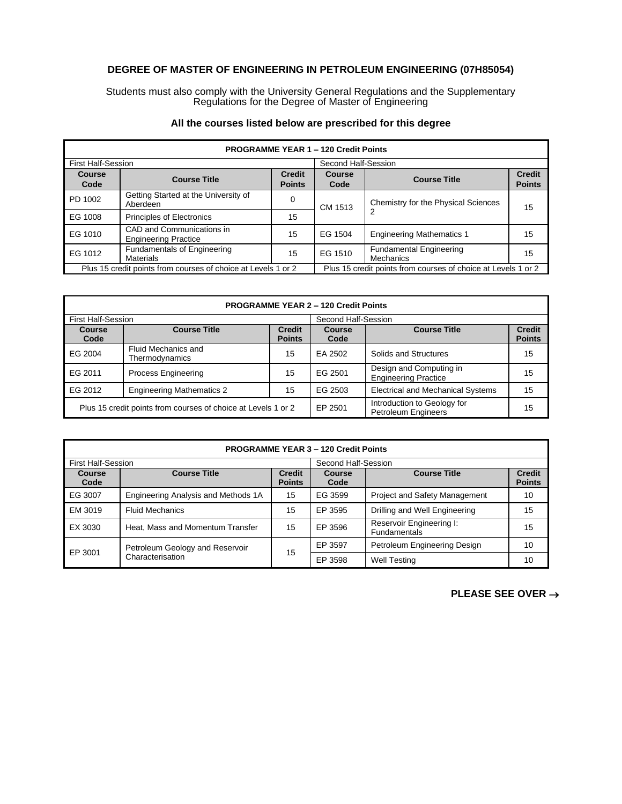## **DEGREE OF MASTER OF ENGINEERING IN PETROLEUM ENGINEERING (07H85054)**

Students must also comply with the University General Regulations and the Supplementary Regulations for the Degree of Master of Engineering

| <b>PROGRAMME YEAR 1 - 120 Credit Points</b>                   |                                                          |                                                               |                     |                                             |                                |
|---------------------------------------------------------------|----------------------------------------------------------|---------------------------------------------------------------|---------------------|---------------------------------------------|--------------------------------|
| <b>First Half-Session</b>                                     |                                                          |                                                               | Second Half-Session |                                             |                                |
| Course<br>Code                                                | <b>Course Title</b>                                      | <b>Credit</b><br><b>Points</b>                                | Course<br>Code      | <b>Course Title</b>                         | <b>Credit</b><br><b>Points</b> |
| PD 1002                                                       | Getting Started at the University of<br>Aberdeen         | 0                                                             | CM 1513             | Chemistry for the Physical Sciences         | 15                             |
| EG 1008                                                       | <b>Principles of Electronics</b>                         | 15                                                            |                     |                                             |                                |
| EG 1010                                                       | CAD and Communications in<br><b>Engineering Practice</b> | 15                                                            | EG 1504             | <b>Engineering Mathematics 1</b>            | 15                             |
| EG 1012                                                       | <b>Fundamentals of Engineering</b><br><b>Materials</b>   | 15                                                            | EG 1510             | <b>Fundamental Engineering</b><br>Mechanics | 15                             |
| Plus 15 credit points from courses of choice at Levels 1 or 2 |                                                          | Plus 15 credit points from courses of choice at Levels 1 or 2 |                     |                                             |                                |

## **All the courses listed below are prescribed for this degree**

| <b>PROGRAMME YEAR 2 - 120 Credit Points</b>                   |                                       |                                |                                                           |                                                        |                                |
|---------------------------------------------------------------|---------------------------------------|--------------------------------|-----------------------------------------------------------|--------------------------------------------------------|--------------------------------|
| <b>First Half-Session</b>                                     |                                       |                                | Second Half-Session                                       |                                                        |                                |
| Course<br>Code                                                | <b>Course Title</b>                   | <b>Credit</b><br><b>Points</b> | Course<br>Code                                            | <b>Course Title</b>                                    | <b>Credit</b><br><b>Points</b> |
| EG 2004                                                       | Fluid Mechanics and<br>Thermodynamics | 15                             | EA 2502                                                   | Solids and Structures                                  | 15                             |
| EG 2011                                                       | <b>Process Engineering</b>            | 15                             | EG 2501                                                   | Design and Computing in<br><b>Engineering Practice</b> | 15                             |
| EG 2012                                                       | <b>Engineering Mathematics 2</b>      | 15                             | EG 2503                                                   | <b>Electrical and Mechanical Systems</b>               | 15                             |
| Plus 15 credit points from courses of choice at Levels 1 or 2 |                                       | EP 2501                        | Introduction to Geology for<br><b>Petroleum Engineers</b> | 15                                                     |                                |

| <b>PROGRAMME YEAR 3 - 120 Credit Points</b> |                                                     |                                |                     |                                          |                                |
|---------------------------------------------|-----------------------------------------------------|--------------------------------|---------------------|------------------------------------------|--------------------------------|
| <b>First Half-Session</b>                   |                                                     |                                | Second Half-Session |                                          |                                |
| Course<br>Code                              | <b>Course Title</b>                                 | <b>Credit</b><br><b>Points</b> | Course<br>Code      | <b>Course Title</b>                      | <b>Credit</b><br><b>Points</b> |
| EG 3007                                     | Engineering Analysis and Methods 1A                 | 15                             | EG 3599             | <b>Project and Safety Management</b>     | 10                             |
| EM 3019                                     | <b>Fluid Mechanics</b>                              | 15                             | EP 3595             | Drilling and Well Engineering            | 15                             |
| EX 3030                                     | Heat, Mass and Momentum Transfer                    | 15                             | EP 3596             | Reservoir Engineering I:<br>Fundamentals | 15                             |
| EP 3001                                     | Petroleum Geology and Reservoir<br>Characterisation | 15                             | EP 3597             | Petroleum Engineering Design             | 10                             |
|                                             |                                                     |                                | EP 3598             | <b>Well Testing</b>                      | 10                             |

**PLEASE SEE OVER** →